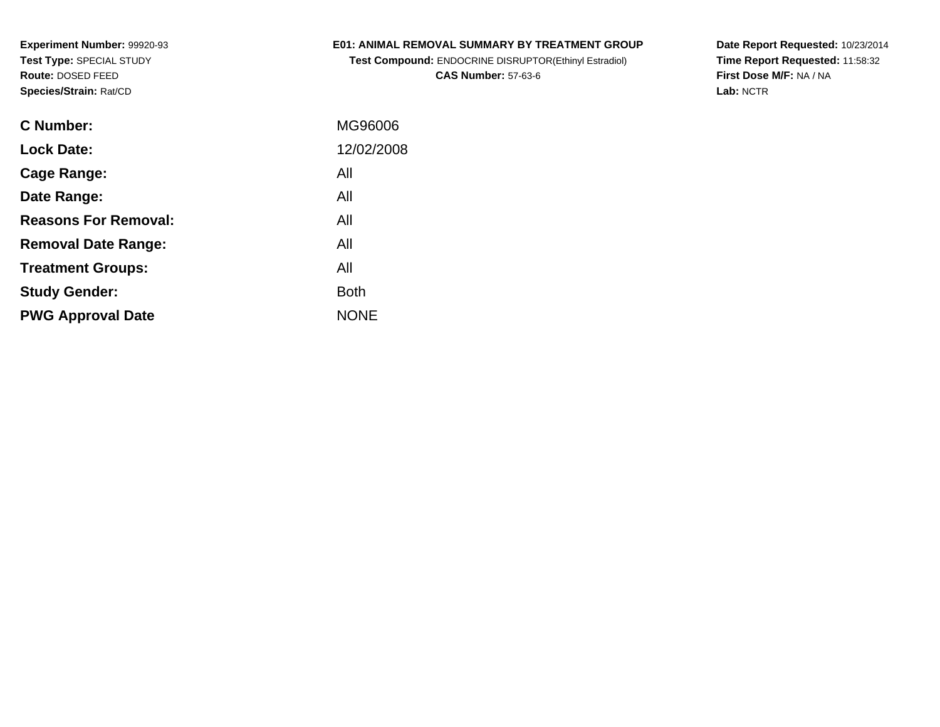## **E01: ANIMAL REMOVAL SUMMARY BY TREATMENT GROUP**

**Test Compound:** ENDOCRINE DISRUPTOR(Ethinyl Estradiol)**CAS Number:** 57-63-6

**Date Report Requested:** 10/23/2014 **Time Report Requested:** 11:58:32**First Dose M/F:** NA / NA**Lab:** NCTR

| C Number:                   | MG96006     |
|-----------------------------|-------------|
| <b>Lock Date:</b>           | 12/02/2008  |
| Cage Range:                 | All         |
| Date Range:                 | All         |
| <b>Reasons For Removal:</b> | All         |
| <b>Removal Date Range:</b>  | All         |
| <b>Treatment Groups:</b>    | All         |
| <b>Study Gender:</b>        | <b>Both</b> |
| <b>PWG Approval Date</b>    | <b>NONE</b> |
|                             |             |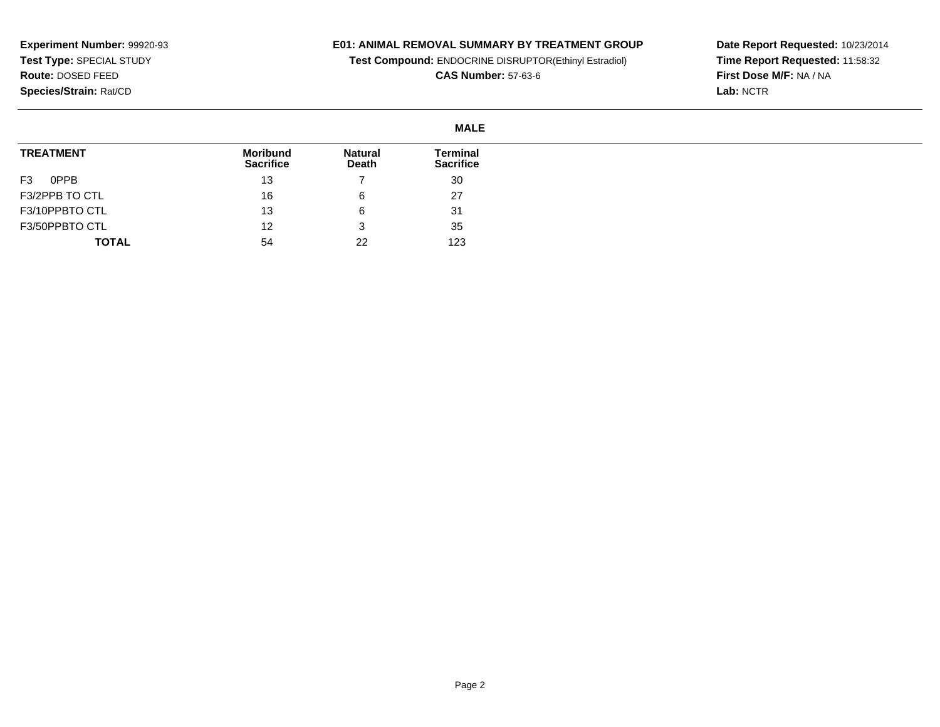### **E01: ANIMAL REMOVAL SUMMARY BY TREATMENT GROUP**

**Test Compound:** ENDOCRINE DISRUPTOR(Ethinyl Estradiol)

**CAS Number:** 57-63-6

**Date Report Requested:** 10/23/2014 **Time Report Requested:** 11:58:32**First Dose M/F:** NA / NA**Lab:** NCTR

#### **MALETREATMENT**F3 0PPB F3/2PPB TO CTL F3/10PPBTO CTL F3/50PPBTO CTL **TOTALMoribund Sacrifice**13 16 13 12 54**Natural Death**7 6 6 3 22**Terminal Sacrifice**30 27 31 35123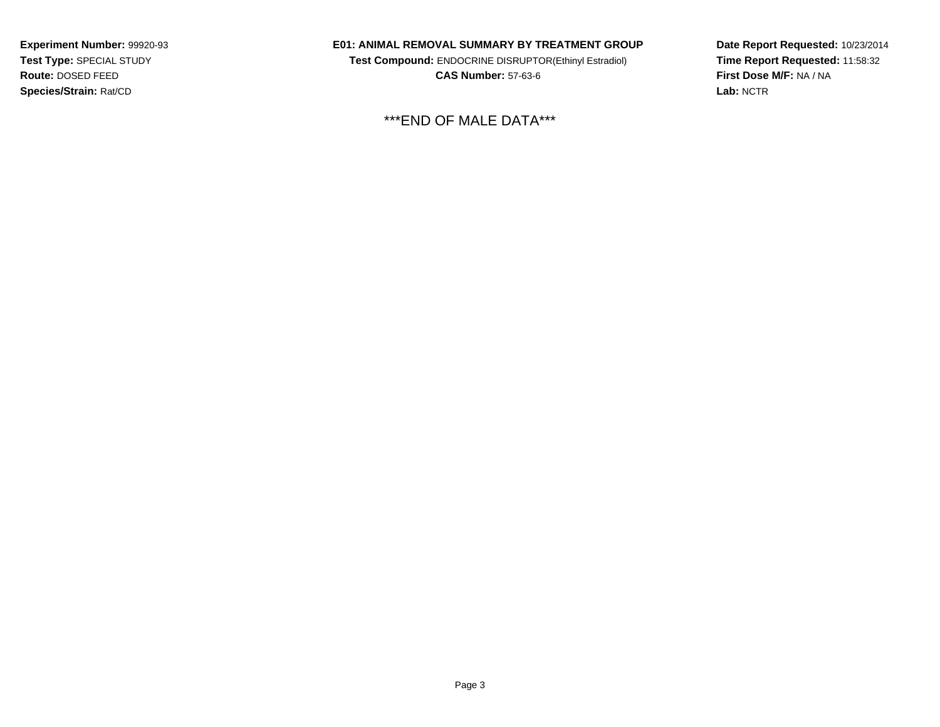### **E01: ANIMAL REMOVAL SUMMARY BY TREATMENT GROUP**

**Test Compound:** ENDOCRINE DISRUPTOR(Ethinyl Estradiol)**CAS Number:** 57-63-6

\*\*\*END OF MALE DATA\*\*\*

**Date Report Requested:** 10/23/2014 **Time Report Requested:** 11:58:32**First Dose M/F:** NA / NA**Lab:** NCTR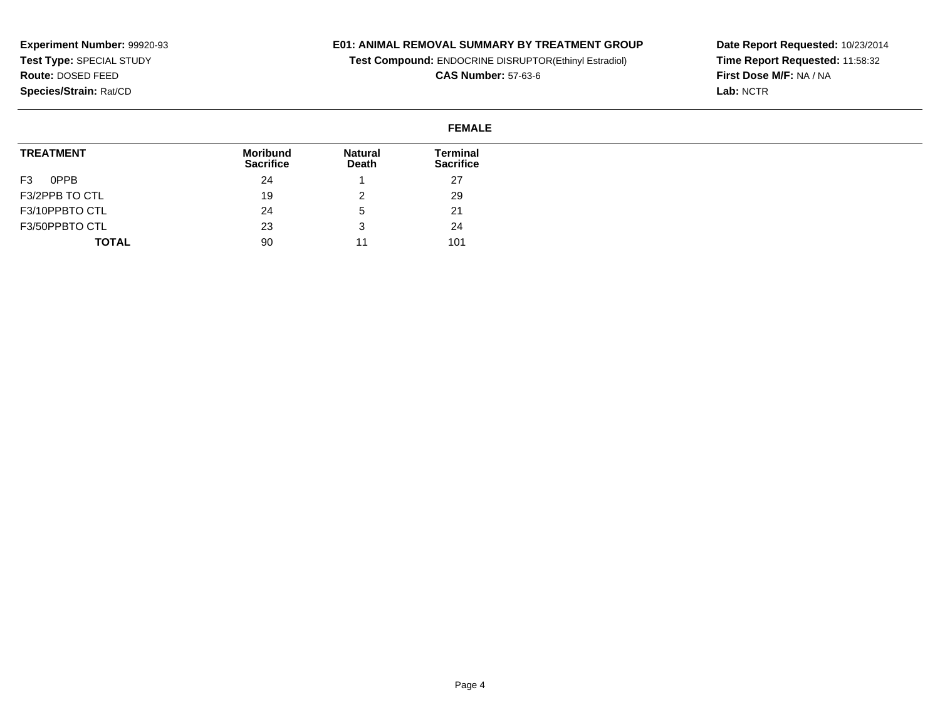### **E01: ANIMAL REMOVAL SUMMARY BY TREATMENT GROUP**

**Test Compound:** ENDOCRINE DISRUPTOR(Ethinyl Estradiol)

**CAS Number:** 57-63-6

**Date Report Requested:** 10/23/2014 **Time Report Requested:** 11:58:32**First Dose M/F:** NA / NA**Lab:** NCTR

#### **FEMALETREATMENT**F3 0PPB F3/2PPB TO CTL F3/10PPBTO CTL F3/50PPBTO CTL **TOTALMoribund Sacrifice**24 19 24 23 90**Natural Death**1 2 5 3 11**Terminal Sacrifice**27 29 21 24101